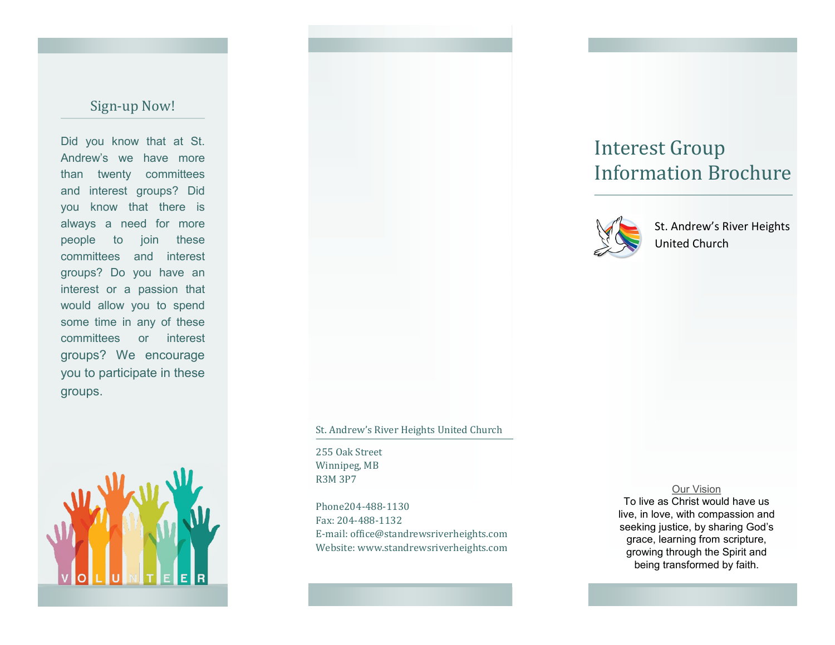## Sign-up Now!

Did you know that at St. Andrew's we have more than twenty committees and interest groups? Did you know that there is always a need for more people to join these committees and interest groups? Do you have an interest or a passion that would allow you to spend some time in any of these committees or interest groups? We encourage you to participate in these groups.



# Interest Group Information Brochure



St. Andrew's River Heights United Church

#### St. Andrew's River Heights United Church

255 Oak Street Winnipeg, MB R3M 3P7

Phone204-488-1130 Fax: 204-488-1132 E-mail: office@standrewsriverheights.com Website: www.standrewsriverheights.com

### Our Vision

To live as Christ would have us live, in love, with compassion and seeking justice, by sharing God's grace, learning from scripture, growing through the Spirit and being transformed by faith.